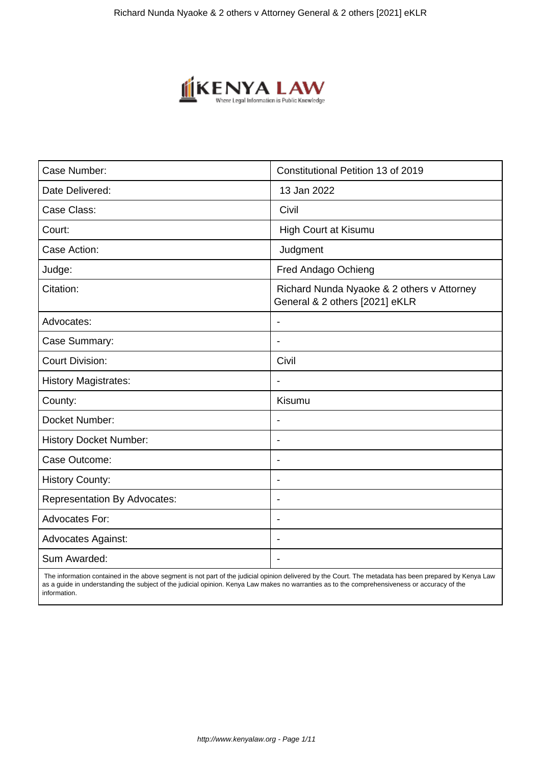

| Case Number:                        | Constitutional Petition 13 of 2019                                           |
|-------------------------------------|------------------------------------------------------------------------------|
| Date Delivered:                     | 13 Jan 2022                                                                  |
| Case Class:                         | Civil                                                                        |
| Court:                              | High Court at Kisumu                                                         |
| Case Action:                        | Judgment                                                                     |
| Judge:                              | Fred Andago Ochieng                                                          |
| Citation:                           | Richard Nunda Nyaoke & 2 others v Attorney<br>General & 2 others [2021] eKLR |
| Advocates:                          |                                                                              |
| Case Summary:                       | $\blacksquare$                                                               |
| <b>Court Division:</b>              | Civil                                                                        |
| <b>History Magistrates:</b>         | $\blacksquare$                                                               |
| County:                             | Kisumu                                                                       |
| Docket Number:                      |                                                                              |
| <b>History Docket Number:</b>       | $\overline{\phantom{a}}$                                                     |
| Case Outcome:                       | $\overline{\phantom{a}}$                                                     |
| <b>History County:</b>              | $\blacksquare$                                                               |
| <b>Representation By Advocates:</b> | $\blacksquare$                                                               |
| <b>Advocates For:</b>               | $\blacksquare$                                                               |
| <b>Advocates Against:</b>           | $\overline{\phantom{0}}$                                                     |
| Sum Awarded:                        |                                                                              |

 The information contained in the above segment is not part of the judicial opinion delivered by the Court. The metadata has been prepared by Kenya Law as a guide in understanding the subject of the judicial opinion. Kenya Law makes no warranties as to the comprehensiveness or accuracy of the information.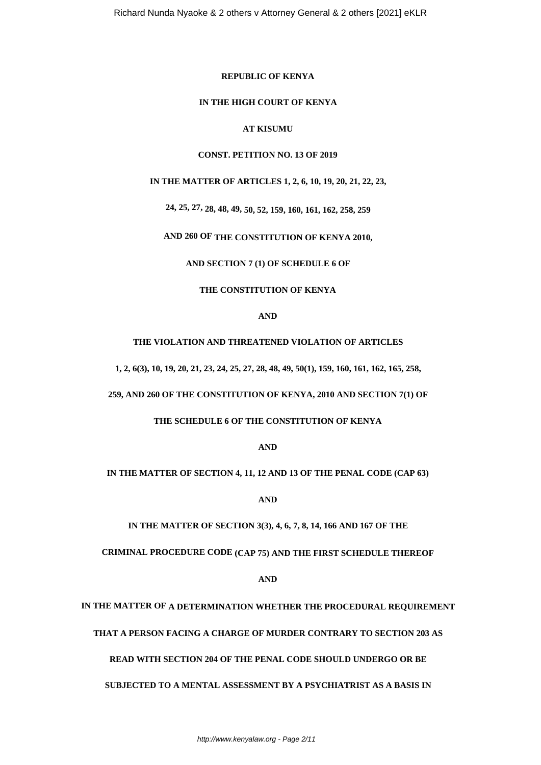#### **REPUBLIC OF KENYA**

#### **IN THE HIGH COURT OF KENYA**

# **AT KISUMU**

#### **CONST. PETITION NO. 13 OF 2019**

#### **IN THE MATTER OF ARTICLES 1, 2, 6, 10, 19, 20, 21, 22, 23,**

**24, 25, 27, 28, 48, 49, 50, 52, 159, 160, 161, 162, 258, 259**

# **AND 260 OF THE CONSTITUTION OF KENYA 2010,**

**AND SECTION 7 (1) OF SCHEDULE 6 OF**

#### **THE CONSTITUTION OF KENYA**

#### **AND**

**THE VIOLATION AND THREATENED VIOLATION OF ARTICLES**

**1, 2, 6(3), 10, 19, 20, 21, 23, 24, 25, 27, 28, 48, 49, 50(1), 159, 160, 161, 162, 165, 258,**

**259, AND 260 OF THE CONSTITUTION OF KENYA, 2010 AND SECTION 7(1) OF**

#### **THE SCHEDULE 6 OF THE CONSTITUTION OF KENYA**

**AND**

**IN THE MATTER OF SECTION 4, 11, 12 AND 13 OF THE PENAL CODE (CAP 63)**

**AND**

**IN THE MATTER OF SECTION 3(3), 4, 6, 7, 8, 14, 166 AND 167 OF THE**

**CRIMINAL PROCEDURE CODE (CAP 75) AND THE FIRST SCHEDULE THEREOF**

**AND**

**IN THE MATTER OF A DETERMINATION WHETHER THE PROCEDURAL REQUIREMENT**

**THAT A PERSON FACING A CHARGE OF MURDER CONTRARY TO SECTION 203 AS**

**READ WITH SECTION 204 OF THE PENAL CODE SHOULD UNDERGO OR BE**

**SUBJECTED TO A MENTAL ASSESSMENT BY A PSYCHIATRIST AS A BASIS IN**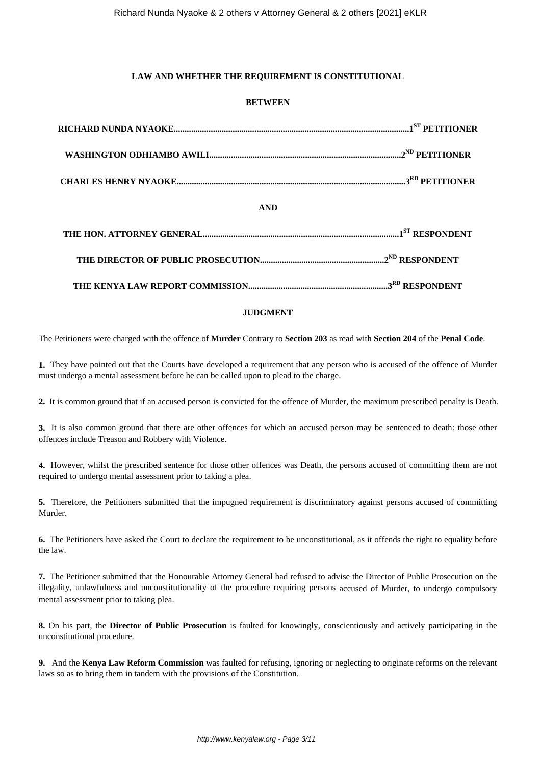# **LAW AND WHETHER THE REQUIREMENT IS CONSTITUTIONAL**

# **BETWEEN**

| <b>AND</b> |  |
|------------|--|
|            |  |
|            |  |
|            |  |

# **JUDGMENT**

The Petitioners were charged with the offence of **Murder** Contrary to **Section 203** as read with **Section 204** of the **Penal Code**.

**1.** They have pointed out that the Courts have developed a requirement that any person who is accused of the offence of Murder must undergo a mental assessment before he can be called upon to plead to the charge.

**2.** It is common ground that if an accused person is convicted for the offence of Murder, the maximum prescribed penalty is Death.

**3.** It is also common ground that there are other offences for which an accused person may be sentenced to death: those other offences include Treason and Robbery with Violence.

**4.** However, whilst the prescribed sentence for those other offences was Death, the persons accused of committing them are not required to undergo mental assessment prior to taking a plea.

**5.** Therefore, the Petitioners submitted that the impugned requirement is discriminatory against persons accused of committing Murder.

**6.** The Petitioners have asked the Court to declare the requirement to be unconstitutional, as it offends the right to equality before the law.

**7.** The Petitioner submitted that the Honourable Attorney General had refused to advise the Director of Public Prosecution on the illegality, unlawfulness and unconstitutionality of the procedure requiring persons accused of Murder, to undergo compulsory mental assessment prior to taking plea.

**8.** On his part, the **Director of Public Prosecution** is faulted for knowingly, conscientiously and actively participating in the unconstitutional procedure.

**9.** And the **Kenya Law Reform Commission** was faulted for refusing, ignoring or neglecting to originate reforms on the relevant laws so as to bring them in tandem with the provisions of the Constitution.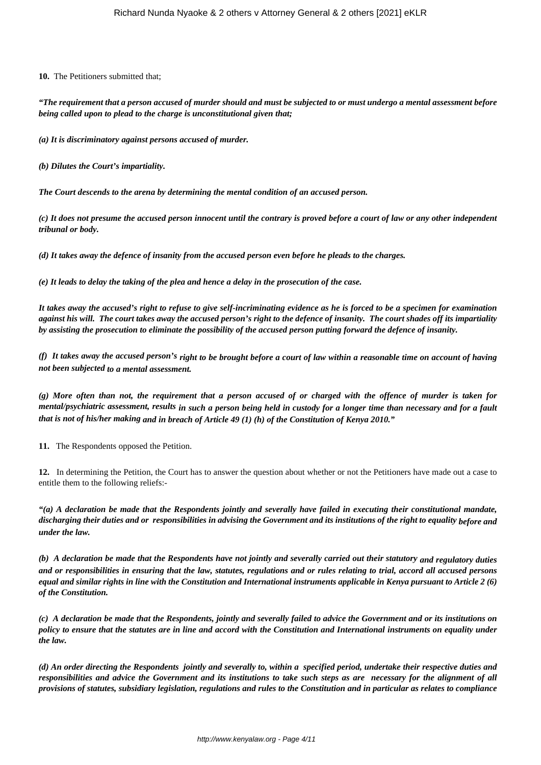**10.** The Petitioners submitted that;

*"The requirement that a person accused of murder should and must be subjected to or must undergo a mental assessment before being called upon to plead to the charge is unconstitutional given that;*

*(a) It is discriminatory against persons accused of murder.*

*(b) Dilutes the Court's impartiality.*

*The Court descends to the arena by determining the mental condition of an accused person.*

*(c) It does not presume the accused person innocent until the contrary is proved before a court of law or any other independent tribunal or body.*

*(d) It takes away the defence of insanity from the accused person even before he pleads to the charges.*

*(e) It leads to delay the taking of the plea and hence a delay in the prosecution of the case.*

*It takes away the accused's right to refuse to give self-incriminating evidence as he is forced to be a specimen for examination against his will. The court takes away the accused person's right to the defence of insanity. The court shades off its impartiality by assisting the prosecution to eliminate the possibility of the accused person putting forward the defence of insanity.*

*(f) It takes away the accused person's right to be brought before a court of law within a reasonable time on account of having not been subjected to a mental assessment.*

*(g) More often than not, the requirement that a person accused of or charged with the offence of murder is taken for mental/psychiatric assessment, results in such a person being held in custody for a longer time than necessary and for a fault that is not of his/her making and in breach of Article 49 (1) (h) of the Constitution of Kenya 2010."*

**11.** The Respondents opposed the Petition.

**12.** In determining the Petition, the Court has to answer the question about whether or not the Petitioners have made out a case to entitle them to the following reliefs:-

*"(a) A declaration be made that the Respondents jointly and severally have failed in executing their constitutional mandate, discharging their duties and or responsibilities in advising the Government and its institutions of the right to equality before and under the law.*

*(b) A declaration be made that the Respondents have not jointly and severally carried out their statutory and regulatory duties and or responsibilities in ensuring that the law, statutes, regulations and or rules relating to trial, accord all accused persons equal and similar rights in line with the Constitution and International instruments applicable in Kenya pursuant to Article 2 (6) of the Constitution.*

*(c) A declaration be made that the Respondents, jointly and severally failed to advice the Government and or its institutions on policy to ensure that the statutes are in line and accord with the Constitution and International instruments on equality under the law.*

*(d) An order directing the Respondents jointly and severally to, within a specified period, undertake their respective duties and responsibilities and advice the Government and its institutions to take such steps as are necessary for the alignment of all provisions of statutes, subsidiary legislation, regulations and rules to the Constitution and in particular as relates to compliance*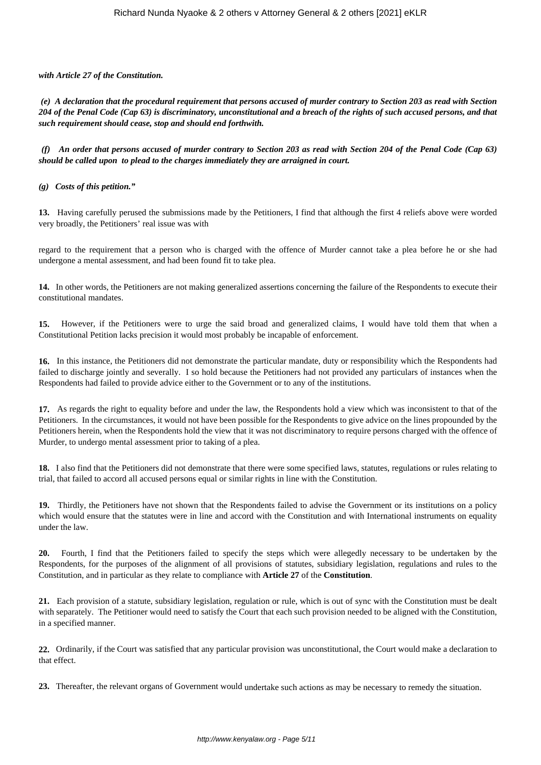*with Article 27 of the Constitution.*

*(e) A declaration that the procedural requirement that persons accused of murder contrary to Section 203 as read with Section 204 of the Penal Code (Cap 63) is discriminatory, unconstitutional and a breach of the rights of such accused persons, and that such requirement should cease, stop and should end forthwith.*

*(f) An order that persons accused of murder contrary to Section 203 as read with Section 204 of the Penal Code (Cap 63) should be called upon to plead to the charges immediately they are arraigned in court.*

*(g) Costs of this petition."*

**13.** Having carefully perused the submissions made by the Petitioners, I find that although the first 4 reliefs above were worded very broadly, the Petitioners' real issue was with

regard to the requirement that a person who is charged with the offence of Murder cannot take a plea before he or she had undergone a mental assessment, and had been found fit to take plea.

**14.** In other words, the Petitioners are not making generalized assertions concerning the failure of the Respondents to execute their constitutional mandates.

**15.** However, if the Petitioners were to urge the said broad and generalized claims, I would have told them that when a Constitutional Petition lacks precision it would most probably be incapable of enforcement.

**16.** In this instance, the Petitioners did not demonstrate the particular mandate, duty or responsibility which the Respondents had failed to discharge jointly and severally. I so hold because the Petitioners had not provided any particulars of instances when the Respondents had failed to provide advice either to the Government or to any of the institutions.

**17.** As regards the right to equality before and under the law, the Respondents hold a view which was inconsistent to that of the Petitioners. In the circumstances, it would not have been possible for the Respondents to give advice on the lines propounded by the Petitioners herein, when the Respondents hold the view that it was not discriminatory to require persons charged with the offence of Murder, to undergo mental assessment prior to taking of a plea.

**18.** I also find that the Petitioners did not demonstrate that there were some specified laws, statutes, regulations or rules relating to trial, that failed to accord all accused persons equal or similar rights in line with the Constitution.

**19.** Thirdly, the Petitioners have not shown that the Respondents failed to advise the Government or its institutions on a policy which would ensure that the statutes were in line and accord with the Constitution and with International instruments on equality under the law.

**20.** Fourth, I find that the Petitioners failed to specify the steps which were allegedly necessary to be undertaken by the Respondents, for the purposes of the alignment of all provisions of statutes, subsidiary legislation, regulations and rules to the Constitution, and in particular as they relate to compliance with **Article 27** of the **Constitution**.

**21.** Each provision of a statute, subsidiary legislation, regulation or rule, which is out of sync with the Constitution must be dealt with separately. The Petitioner would need to satisfy the Court that each such provision needed to be aligned with the Constitution, in a specified manner.

**22.** Ordinarily, if the Court was satisfied that any particular provision was unconstitutional, the Court would make a declaration to that effect.

**23.** Thereafter, the relevant organs of Government would undertake such actions as may be necessary to remedy the situation.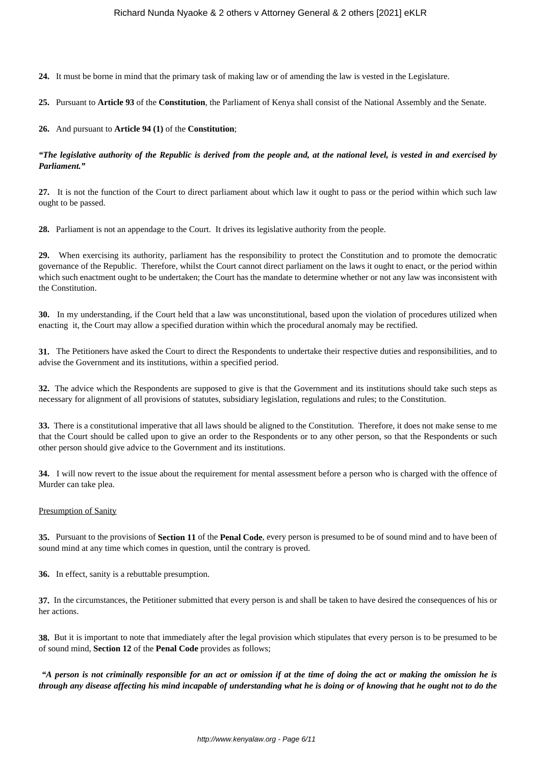**24.** It must be borne in mind that the primary task of making law or of amending the law is vested in the Legislature.

**25.** Pursuant to **Article 93** of the **Constitution**, the Parliament of Kenya shall consist of the National Assembly and the Senate.

**26.** And pursuant to **Article 94 (1)** of the **Constitution**;

# *"The legislative authority of the Republic is derived from the people and, at the national level, is vested in and exercised by Parliament."*

**27.** It is not the function of the Court to direct parliament about which law it ought to pass or the period within which such law ought to be passed.

**28.** Parliament is not an appendage to the Court. It drives its legislative authority from the people.

**29.** When exercising its authority, parliament has the responsibility to protect the Constitution and to promote the democratic governance of the Republic. Therefore, whilst the Court cannot direct parliament on the laws it ought to enact, or the period within which such enactment ought to be undertaken; the Court has the mandate to determine whether or not any law was inconsistent with the Constitution.

**30.** In my understanding, if the Court held that a law was unconstitutional, based upon the violation of procedures utilized when enacting it, the Court may allow a specified duration within which the procedural anomaly may be rectified.

**31.** The Petitioners have asked the Court to direct the Respondents to undertake their respective duties and responsibilities, and to advise the Government and its institutions, within a specified period.

**32.** The advice which the Respondents are supposed to give is that the Government and its institutions should take such steps as necessary for alignment of all provisions of statutes, subsidiary legislation, regulations and rules; to the Constitution.

**33.** There is a constitutional imperative that all laws should be aligned to the Constitution. Therefore, it does not make sense to me that the Court should be called upon to give an order to the Respondents or to any other person, so that the Respondents or such other person should give advice to the Government and its institutions.

**34.** I will now revert to the issue about the requirement for mental assessment before a person who is charged with the offence of Murder can take plea.

#### Presumption of Sanity

**35.** Pursuant to the provisions of **Section 11** of the **Penal Code**, every person is presumed to be of sound mind and to have been of sound mind at any time which comes in question, until the contrary is proved.

**36.** In effect, sanity is a rebuttable presumption.

**37.** In the circumstances, the Petitioner submitted that every person is and shall be taken to have desired the consequences of his or her actions.

**38.** But it is important to note that immediately after the legal provision which stipulates that every person is to be presumed to be of sound mind, **Section 12** of the **Penal Code** provides as follows;

*"A person is not criminally responsible for an act or omission if at the time of doing the act or making the omission he is through any disease affecting his mind incapable of understanding what he is doing or of knowing that he ought not to do the*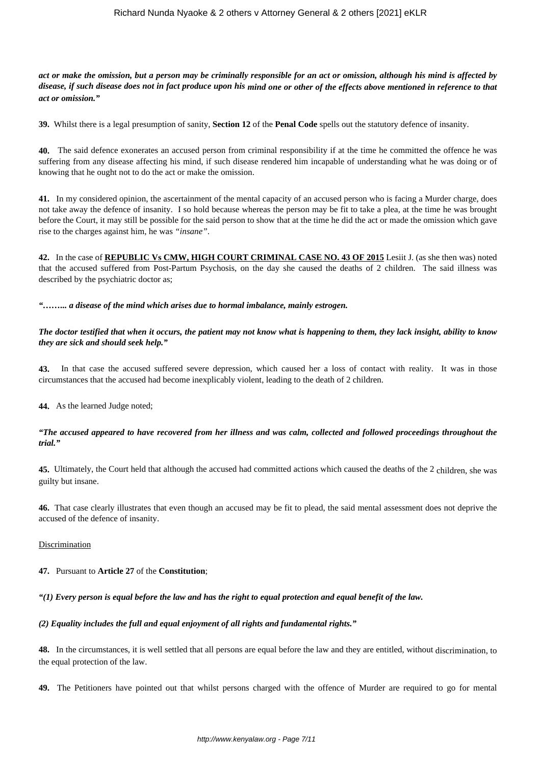*act or make the omission, but a person may be criminally responsible for an act or omission, although his mind is affected by disease, if such disease does not in fact produce upon his mind one or other of the effects above mentioned in reference to that act or omission."*

**39.** Whilst there is a legal presumption of sanity, **Section 12** of the **Penal Code** spells out the statutory defence of insanity.

**40.** The said defence exonerates an accused person from criminal responsibility if at the time he committed the offence he was suffering from any disease affecting his mind, if such disease rendered him incapable of understanding what he was doing or of knowing that he ought not to do the act or make the omission.

**41.** In my considered opinion, the ascertainment of the mental capacity of an accused person who is facing a Murder charge, does not take away the defence of insanity. I so hold because whereas the person may be fit to take a plea, at the time he was brought before the Court, it may still be possible for the said person to show that at the time he did the act or made the omission which gave rise to the charges against him, he was *"insane"*.

**42.** In the case of **REPUBLIC Vs CMW, HIGH COURT CRIMINAL CASE NO. 43 OF 2015** Lesiit J. (as she then was) noted that the accused suffered from Post-Partum Psychosis, on the day she caused the deaths of 2 children. The said illness was described by the psychiatric doctor as;

*"……... a disease of the mind which arises due to hormal imbalance, mainly estrogen.*

*The doctor testified that when it occurs, the patient may not know what is happening to them, they lack insight, ability to know they are sick and should seek help."*

In that case the accused suffered severe depression, which caused her a loss of contact with reality. It was in those circumstances that the accused had become inexplicably violent, leading to the death of 2 children.

**44.** As the learned Judge noted;

## *"The accused appeared to have recovered from her illness and was calm, collected and followed proceedings throughout the trial."*

**45.** Ultimately, the Court held that although the accused had committed actions which caused the deaths of the 2 children, she was guilty but insane.

**46.** That case clearly illustrates that even though an accused may be fit to plead, the said mental assessment does not deprive the accused of the defence of insanity.

**Discrimination** 

**47.** Pursuant to **Article 27** of the **Constitution**;

*"(1) Every person is equal before the law and has the right to equal protection and equal benefit of the law.*

*(2) Equality includes the full and equal enjoyment of all rights and fundamental rights."*

**48.** In the circumstances, it is well settled that all persons are equal before the law and they are entitled, without discrimination, to the equal protection of the law.

**49.** The Petitioners have pointed out that whilst persons charged with the offence of Murder are required to go for mental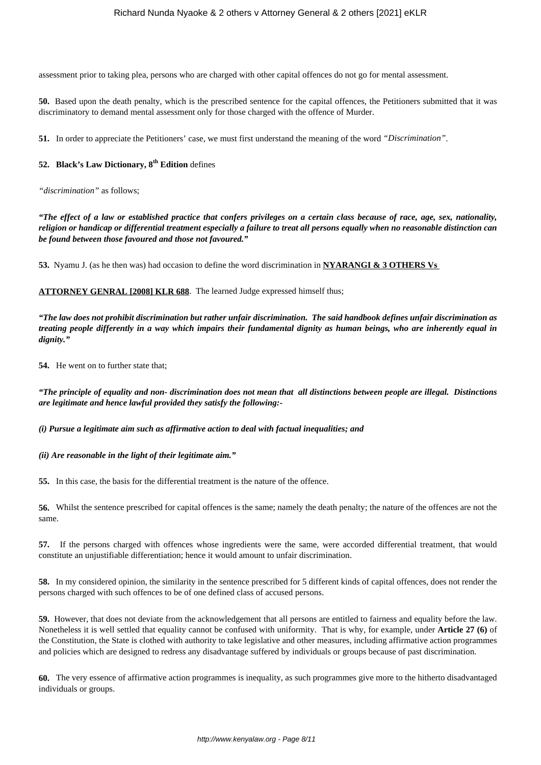assessment prior to taking plea, persons who are charged with other capital offences do not go for mental assessment.

**50.** Based upon the death penalty, which is the prescribed sentence for the capital offences, the Petitioners submitted that it was discriminatory to demand mental assessment only for those charged with the offence of Murder.

**51.** In order to appreciate the Petitioners' case, we must first understand the meaning of the word *"Discrimination"*.

# **52. Black's Law Dictionary, 8th Edition** defines

*"discrimination"* as follows;

*"The effect of a law or established practice that confers privileges on a certain class because of race, age, sex, nationality, religion or handicap or differential treatment especially a failure to treat all persons equally when no reasonable distinction can be found between those favoured and those not favoured."*

**53.** Nyamu J. (as he then was) had occasion to define the word discrimination in **NYARANGI & 3 OTHERS Vs** 

#### **ATTORNEY GENRAL [2008] KLR 688**. The learned Judge expressed himself thus;

*"The law does not prohibit discrimination but rather unfair discrimination. The said handbook defines unfair discrimination as treating people differently in a way which impairs their fundamental dignity as human beings, who are inherently equal in dignity."*

**54.** He went on to further state that;

*"The principle of equality and non- discrimination does not mean that all distinctions between people are illegal. Distinctions are legitimate and hence lawful provided they satisfy the following:-*

*(i) Pursue a legitimate aim such as affirmative action to deal with factual inequalities; and*

*(ii) Are reasonable in the light of their legitimate aim."*

**55.** In this case, the basis for the differential treatment is the nature of the offence.

**56.** Whilst the sentence prescribed for capital offences is the same; namely the death penalty; the nature of the offences are not the same.

**57.** If the persons charged with offences whose ingredients were the same, were accorded differential treatment, that would constitute an unjustifiable differentiation; hence it would amount to unfair discrimination.

**58.** In my considered opinion, the similarity in the sentence prescribed for 5 different kinds of capital offences, does not render the persons charged with such offences to be of one defined class of accused persons.

**59.** However, that does not deviate from the acknowledgement that all persons are entitled to fairness and equality before the law. Nonetheless it is well settled that equality cannot be confused with uniformity. That is why, for example, under **Article 27 (6)** of the Constitution, the State is clothed with authority to take legislative and other measures, including affirmative action programmes and policies which are designed to redress any disadvantage suffered by individuals or groups because of past discrimination.

**60.** The very essence of affirmative action programmes is inequality, as such programmes give more to the hitherto disadvantaged individuals or groups.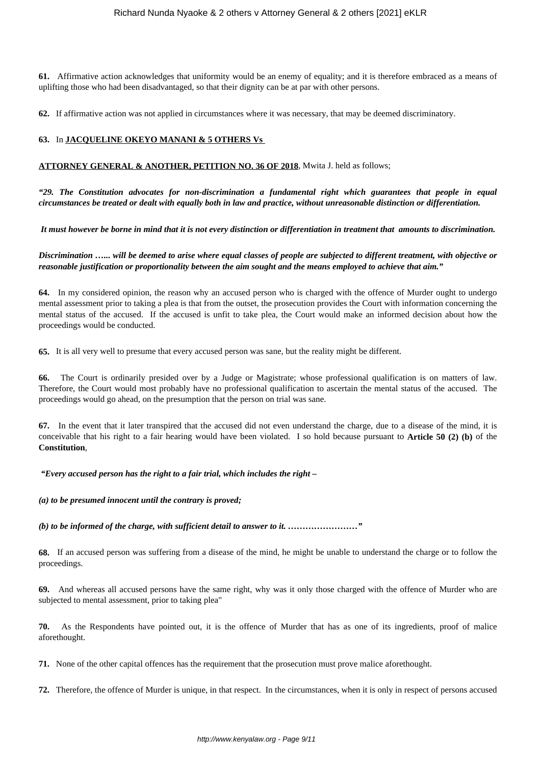**61.** Affirmative action acknowledges that uniformity would be an enemy of equality; and it is therefore embraced as a means of uplifting those who had been disadvantaged, so that their dignity can be at par with other persons.

**62.** If affirmative action was not applied in circumstances where it was necessary, that may be deemed discriminatory.

# **63.** In **JACQUELINE OKEYO MANANI & 5 OTHERS Vs**

## **ATTORNEY GENERAL & ANOTHER, PETITION NO. 36 OF 2018**, Mwita J. held as follows;

*"29. The Constitution advocates for non-discrimination a fundamental right which guarantees that people in equal circumstances be treated or dealt with equally both in law and practice, without unreasonable distinction or differentiation.*

*It must however be borne in mind that it is not every distinction or differentiation in treatment that amounts to discrimination.*

*Discrimination …... will be deemed to arise where equal classes of people are subjected to different treatment, with objective or reasonable justification or proportionality between the aim sought and the means employed to achieve that aim."*

**64.** In my considered opinion, the reason why an accused person who is charged with the offence of Murder ought to undergo mental assessment prior to taking a plea is that from the outset, the prosecution provides the Court with information concerning the mental status of the accused. If the accused is unfit to take plea, the Court would make an informed decision about how the proceedings would be conducted.

**65.** It is all very well to presume that every accused person was sane, but the reality might be different.

**66.** The Court is ordinarily presided over by a Judge or Magistrate; whose professional qualification is on matters of law. Therefore, the Court would most probably have no professional qualification to ascertain the mental status of the accused. The proceedings would go ahead, on the presumption that the person on trial was sane.

**67.** In the event that it later transpired that the accused did not even understand the charge, due to a disease of the mind, it is conceivable that his right to a fair hearing would have been violated. I so hold because pursuant to **Article 50 (2) (b)** of the **Constitution**,

*"Every accused person has the right to a fair trial, which includes the right –*

*(a) to be presumed innocent until the contrary is proved;*

*(b) to be informed of the charge, with sufficient detail to answer to it. ……………………"*

**68.** If an accused person was suffering from a disease of the mind, he might be unable to understand the charge or to follow the proceedings.

**69.** And whereas all accused persons have the same right, why was it only those charged with the offence of Murder who are subjected to mental assessment, prior to taking plea"

**70.** As the Respondents have pointed out, it is the offence of Murder that has as one of its ingredients, proof of malice aforethought.

**71.** None of the other capital offences has the requirement that the prosecution must prove malice aforethought.

**72.** Therefore, the offence of Murder is unique, in that respect. In the circumstances, when it is only in respect of persons accused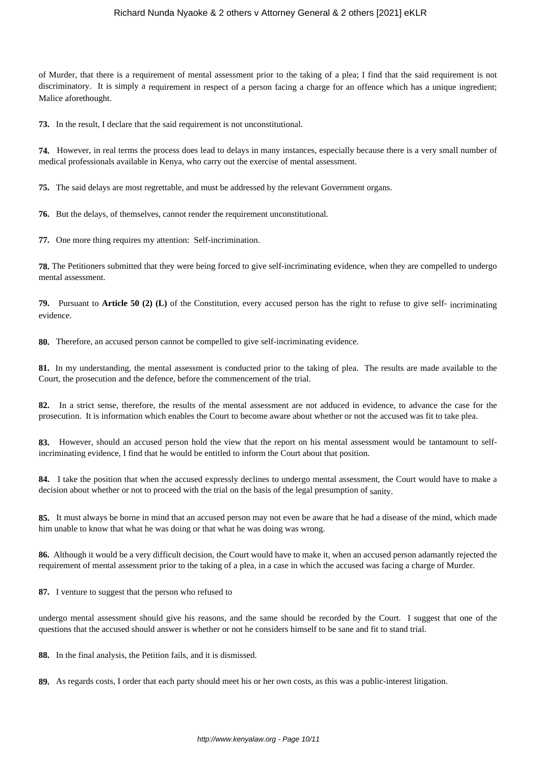## Richard Nunda Nyaoke & 2 others v Attorney General & 2 others [2021] eKLR

of Murder, that there is a requirement of mental assessment prior to the taking of a plea; I find that the said requirement is not discriminatory. It is simply a requirement in respect of a person facing a charge for an offence which has a unique ingredient; Malice aforethought.

**73.** In the result, I declare that the said requirement is not unconstitutional.

**74.** However, in real terms the process does lead to delays in many instances, especially because there is a very small number of medical professionals available in Kenya, who carry out the exercise of mental assessment.

**75.** The said delays are most regrettable, and must be addressed by the relevant Government organs.

**76.** But the delays, of themselves, cannot render the requirement unconstitutional.

**77.** One more thing requires my attention: Self-incrimination.

**78.** The Petitioners submitted that they were being forced to give self-incriminating evidence, when they are compelled to undergo mental assessment.

**79.** Pursuant to **Article 50 (2) (L)** of the Constitution, every accused person has the right to refuse to give self- incriminating evidence.

**80.** Therefore, an accused person cannot be compelled to give self-incriminating evidence.

**81.** In my understanding, the mental assessment is conducted prior to the taking of plea. The results are made available to the Court, the prosecution and the defence, before the commencement of the trial.

**82.** In a strict sense, therefore, the results of the mental assessment are not adduced in evidence, to advance the case for the prosecution. It is information which enables the Court to become aware about whether or not the accused was fit to take plea.

**83.** However, should an accused person hold the view that the report on his mental assessment would be tantamount to selfincriminating evidence, I find that he would be entitled to inform the Court about that position.

**84.** I take the position that when the accused expressly declines to undergo mental assessment, the Court would have to make a decision about whether or not to proceed with the trial on the basis of the legal presumption of sanity.

**85.** It must always be borne in mind that an accused person may not even be aware that he had a disease of the mind, which made him unable to know that what he was doing or that what he was doing was wrong.

**86.** Although it would be a very difficult decision, the Court would have to make it, when an accused person adamantly rejected the requirement of mental assessment prior to the taking of a plea, in a case in which the accused was facing a charge of Murder.

**87.** I venture to suggest that the person who refused to

undergo mental assessment should give his reasons, and the same should be recorded by the Court. I suggest that one of the questions that the accused should answer is whether or not he considers himself to be sane and fit to stand trial.

**88.** In the final analysis, the Petition fails, and it is dismissed.

**89.** As regards costs, I order that each party should meet his or her own costs, as this was a public-interest litigation.